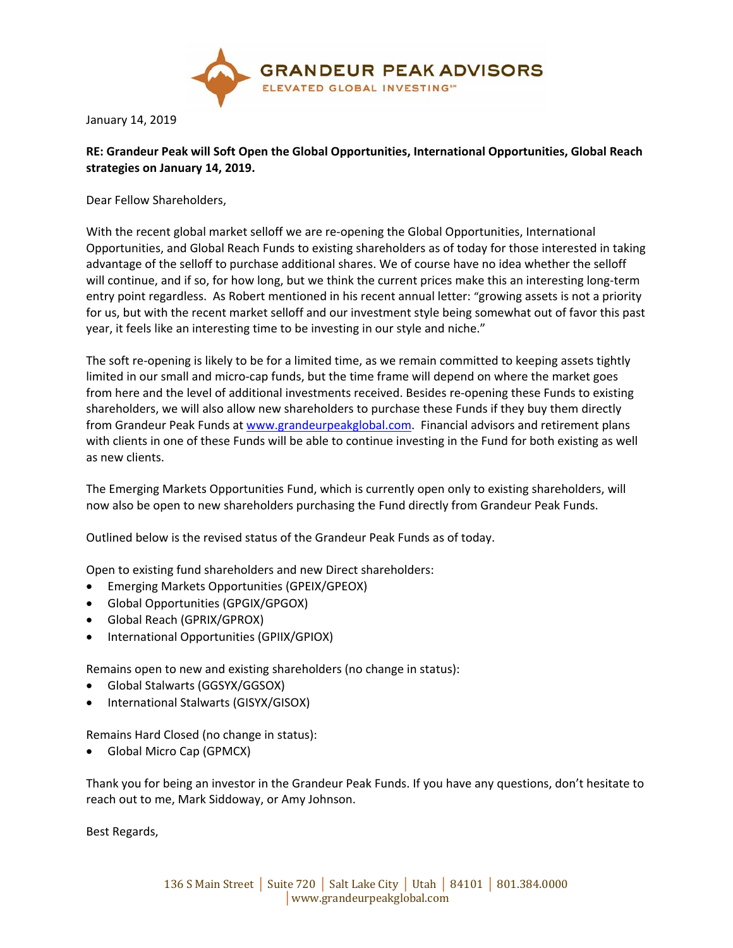

January 14, 2019

## **RE: Grandeur Peak will Soft Open the Global Opportunities, International Opportunities, Global Reach strategies on January 14, 2019.**

Dear Fellow Shareholders,

With the recent global market selloff we are re-opening the Global Opportunities, International Opportunities, and Global Reach Funds to existing shareholders as of today for those interested in taking advantage of the selloff to purchase additional shares. We of course have no idea whether the selloff will continue, and if so, for how long, but we think the current prices make this an interesting long-term entry point regardless. As Robert mentioned in his recent annual letter: "growing assets is not a priority for us, but with the recent market selloff and our investment style being somewhat out of favor this past year, it feels like an interesting time to be investing in our style and niche."

The soft re-opening is likely to be for a limited time, as we remain committed to keeping assets tightly limited in our small and micro-cap funds, but the time frame will depend on where the market goes from here and the level of additional investments received. Besides re-opening these Funds to existing shareholders, we will also allow new shareholders to purchase these Funds if they buy them directly from Grandeur Peak Funds at www.grandeurpeakglobal.com. Financial advisors and retirement plans with clients in one of these Funds will be able to continue investing in the Fund for both existing as well as new clients.

The Emerging Markets Opportunities Fund, which is currently open only to existing shareholders, will now also be open to new shareholders purchasing the Fund directly from Grandeur Peak Funds.

Outlined below is the revised status of the Grandeur Peak Funds as of today.

Open to existing fund shareholders and new Direct shareholders:

- Emerging Markets Opportunities (GPEIX/GPEOX)
- Global Opportunities (GPGIX/GPGOX)
- Global Reach (GPRIX/GPROX)
- International Opportunities (GPIIX/GPIOX)

Remains open to new and existing shareholders (no change in status):

- Global Stalwarts (GGSYX/GGSOX)
- International Stalwarts (GISYX/GISOX)

Remains Hard Closed (no change in status):

• Global Micro Cap (GPMCX)

Thank you for being an investor in the Grandeur Peak Funds. If you have any questions, don't hesitate to reach out to me, Mark Siddoway, or Amy Johnson.

Best Regards,